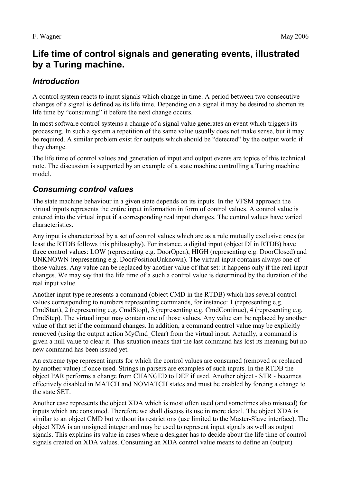# **Life time of control signals and generating events, illustrated by a Turing machine.**

# *Introduction*

A control system reacts to input signals which change in time. A period between two consecutive changes of a signal is defined as its life time. Depending on a signal it may be desired to shorten its life time by "consuming" it before the next change occurs.

In most software control systems a change of a signal value generates an event which triggers its processing. In such a system a repetition of the same value usually does not make sense, but it may be required. A similar problem exist for outputs which should be "detected" by the output world if they change.

The life time of control values and generation of input and output events are topics of this technical note. The discussion is supported by an example of a state machine controlling a Turing machine model.

# *Consuming control values*

The state machine behaviour in a given state depends on its inputs. In the VFSM approach the virtual inputs represents the entire input information in form of control values. A control value is entered into the virtual input if a corresponding real input changes. The control values have varied characteristics.

Any input is characterized by a set of control values which are as a rule mutually exclusive ones (at least the RTDB follows this philosophy). For instance, a digital input (object DI in RTDB) have three control values: LOW (representing e.g. DoorOpen), HIGH (representing e.g. DoorClosed) and UNKNOWN (representing e.g. DoorPositionUnknown). The virtual input contains always one of those values. Any value can be replaced by another value of that set: it happens only if the real input changes. We may say that the life time of a such a control value is determined by the duration of the real input value.

Another input type represents a command (object CMD in the RTDB) which has several control values corresponding to numbers representing commands, for instance: 1 (representing e.g. CmdStart), 2 (representing e.g. CmdStop), 3 (representing e.g. CmdContinue), 4 (representing e.g. CmdStep). The virtual input may contain one of those values. Any value can be replaced by another value of that set if the command changes. In addition, a command control value may be explicitly removed (using the output action MyCmd\_Clear) from the virtual input. Actually, a command is given a null value to clear it. This situation means that the last command has lost its meaning but no new command has been issued yet.

An extreme type represent inputs for which the control values are consumed (removed or replaced by another value) if once used. Strings in parsers are examples of such inputs. In the RTDB the object PAR performs a change from CHANGED to DEF if used. Another object - STR - becomes effectively disabled in MATCH and NOMATCH states and must be enabled by forcing a change to the state SET.

Another case represents the object XDA which is most often used (and sometimes also misused) for inputs which are consumed. Therefore we shall discuss its use in more detail. The object XDA is similar to an object CMD but without its restrictions (use limited to the Master-Slave interface). The object XDA is an unsigned integer and may be used to represent input signals as well as output signals. This explains its value in cases where a designer has to decide about the life time of control signals created on XDA values. Consuming an XDA control value means to define an (output)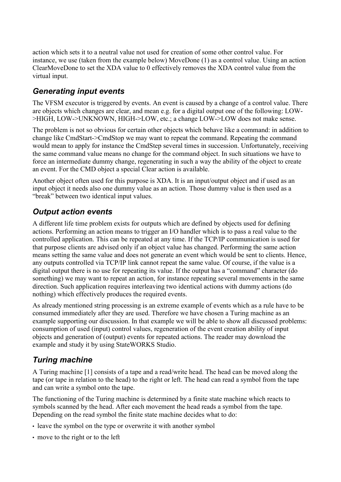action which sets it to a neutral value not used for creation of some other control value. For instance, we use (taken from the example below) MoveDone (1) as a control value. Using an action ClearMoveDone to set the XDA value to 0 effectively removes the XDA control value from the virtual input.

# *Generating input events*

The VFSM executor is triggered by events. An event is caused by a change of a control value. There are objects which changes are clear, and mean e.g. for a digital output one of the following: LOW- >HIGH, LOW->UNKNOWN, HIGH->LOW, etc.; a change LOW->LOW does not make sense.

The problem is not so obvious for certain other objects which behave like a command: in addition to change like CmdStart->CmdStop we may want to repeat the command. Repeating the command would mean to apply for instance the CmdStep several times in succession. Unfortunately, receiving the same command value means no change for the command object. In such situations we have to force an intermediate dummy change, regenerating in such a way the ability of the object to create an event. For the CMD object a special Clear action is available.

Another object often used for this purpose is XDA. It is an input/output object and if used as an input object it needs also one dummy value as an action. Those dummy value is then used as a "break" between two identical input values.

# *Output action events*

A different life time problem exists for outputs which are defined by objects used for defining actions. Performing an action means to trigger an I/O handler which is to pass a real value to the controlled application. This can be repeated at any time. If the TCP/IP communication is used for that purpose clients are advised only if an object value has changed. Performing the same action means setting the same value and does not generate an event which would be sent to clients. Hence, any outputs controlled via TCP/IP link cannot repeat the same value. Of course, if the value is a digital output there is no use for repeating its value. If the output has a "command" character (do something) we may want to repeat an action, for instance repeating several movements in the same direction. Such application requires interleaving two identical actions with dummy actions (do nothing) which effectively produces the required events.

As already mentioned string processing is an extreme example of events which as a rule have to be consumed immediately after they are used. Therefore we have chosen a Turing machine as an example supporting our discussion. In that example we will be able to show all discussed problems: consumption of used (input) control values, regeneration of the event creation ability of input objects and generation of (output) events for repeated actions. The reader may download the example and study it by using StateWORKS Studio.

# *Turing machine*

A Turing machine [1] consists of a tape and a read/write head. The head can be moved along the tape (or tape in relation to the head) to the right or left. The head can read a symbol from the tape and can write a symbol onto the tape.

The functioning of the Turing machine is determined by a finite state machine which reacts to symbols scanned by the head. After each movement the head reads a symbol from the tape. Depending on the read symbol the finite state machine decides what to do:

- leave the symbol on the type or overwrite it with another symbol
- move to the right or to the left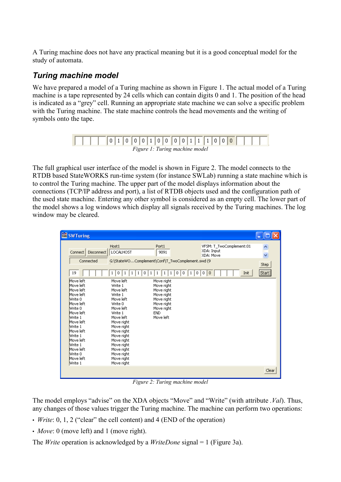A Turing machine does not have any practical meaning but it is a good conceptual model for the study of automata.

### *Turing machine model*

We have prepared a model of a Turing machine as shown in [Figure 1](#page-2-0). The actual model of a Turing machine is a tape represented by 24 cells which can contain digits 0 and 1. The position of the head is indicated as a "grey" cell. Running an appropriate state machine we can solve a specific problem with the Turing machine. The state machine controls the head movements and the writing of symbols onto the tape.

<span id="page-2-0"></span>

|                                |  |  | 01000100010011111000 |  |  |  |  |  |  |  |  |  |  |  |  |  |  |  |  |  |
|--------------------------------|--|--|----------------------|--|--|--|--|--|--|--|--|--|--|--|--|--|--|--|--|--|
| Figure 1: Turing machine model |  |  |                      |  |  |  |  |  |  |  |  |  |  |  |  |  |  |  |  |  |

The full graphical user interface of the model is shown in [Figure 2.](#page-2-1) The model connects to the RTDB based StateWORKS run-time system (for instance SWLab) running a state machine which is to control the Turing machine. The upper part of the model displays information about the connections (TCP/IP address and port), a list of RTDB objects used and the configuration path of the used state machine. Entering any other symbol is considered as an empty cell. The lower part of the model shows a log windows which display all signals received by the Turing machines. The log window may be cleared.

| <b>FR</b> SWTuring                                        |                                                            |                                                                   |                                                     |                |
|-----------------------------------------------------------|------------------------------------------------------------|-------------------------------------------------------------------|-----------------------------------------------------|----------------|
| Disconnect<br>Connect  <br>Connected                      | Host1<br>LOCALHOST                                         | Port1<br>9091<br>G:\StateWOComplement\Conf\T_TwoComplement.swd (9 | VFSM: T_TwoComplement:01<br>XDA: Input<br>XDA: Move | v              |
| 19<br>Move left                                           | 0<br>0<br>1<br>Move left                                   | 0<br>0<br>0<br>1<br>Move right                                    | Init<br>0<br>0                                      | Step<br>Start) |
| Move left<br>Move left<br>Move left<br>Write 0            | Write 1<br>Move left<br>Write 1<br>Move left               | Move right<br>Move right<br>Move right<br>Move right              |                                                     |                |
| Move left<br>Write 0<br>Move left<br>Write 1<br>Move left | Write 0<br>Move left<br>Write 1<br>Move left<br>Move right | Move right<br>Move right<br><b>END</b><br>Move left               |                                                     |                |
| Write 1<br>Move left<br>Write 1<br>Move left              | Move right<br>Move right<br>Move right<br>Move right       |                                                                   |                                                     |                |
| Write 1<br>Move left<br>Write 0<br>Move left              | Move right<br>Move right<br>Move right<br>Move right       |                                                                   |                                                     |                |
| Write 1                                                   | Move right                                                 |                                                                   |                                                     | Clear          |

<span id="page-2-1"></span>*Figure 2: Turing machine model*

The model employs "advise" on the XDA objects "Move" and "Write" (with attribute *.Val*). Thus, any changes of those values trigger the Turing machine. The machine can perform two operations:

- *Write*: 0, 1, 2 ("clear" the cell content) and 4 (END of the operation)
- *Move*: 0 (move left) and 1 (move right).

The *Write* operation is acknowledged by a *WriteDone* signal = 1 ([Figure 3a](#page-3-0)).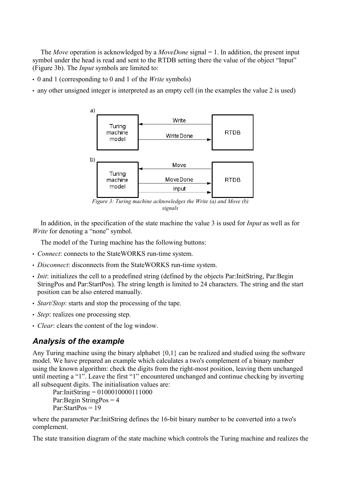The *Move* operation is acknowledged by a *MoveDone* signal = 1. In addition, the present input symbol under the head is read and sent to the RTDB setting there the value of the object "Input" ([Figure 3b](#page-3-0)). The *Input* symbols are limited to:

- 0 and 1 (corresponding to 0 and 1 of the *Write* symbols)
- any other unsigned integer is interpreted as an empty cell (in the examples the value 2 is used)



<span id="page-3-0"></span>*Figure 3: Turing machine acknowledges the Write (a) and Move (b) signals*

In addition, in the specification of the state machine the value 3 is used for *Input* as well as for *Write* for denoting a "none" symbol.

The model of the Turing machine has the following buttons:

- *Connect*: connects to the StateWORKS run-time system.
- *Disconnect*: disconnects from the StateWORKS run-time system.
- *Init*: initializes the cell to a predefined string (defined by the objects Par:InitString, Par:Begin StringPos and Par:StartPos). The string length is limited to 24 characters. The string and the start position can be also entered manually.
- *Start*/*Stop*: starts and stop the processing of the tape.
- *Step*: realizes one processing step.
- *Clear*: clears the content of the log window.

#### *Analysis of the example*

Any Turing machine using the binary alphabet {0,1} can be realized and studied using the software model. We have prepared an example which calculates a two's complement of a binary number using the known algorithm: check the digits from the right-most position, leaving them unchanged until meeting a "1". Leave the first "1" encountered unchanged and continue checking by inverting all subsequent digits. The initialisation values are:

```
Par:InitString = 0100010000111000
Par:Begin StringPos = 4
Par:StartPos = 19
```
where the parameter Par:InitString defines the 16-bit binary number to be converted into a two's complement.

The state transition diagram of the state machine which controls the Turing machine and realizes the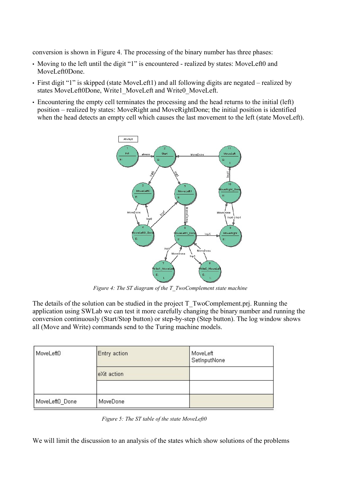conversion is shown in [Figure 4](#page-4-0). The processing of the binary number has three phases:

- Moving to the left until the digit "1" is encountered realized by states: MoveLeft0 and MoveLeft0Done.
- First digit "1" is skipped (state MoveLeft1) and all following digits are negated realized by states MoveLeft0Done, Write1\_MoveLeft and Write0\_MoveLeft.
- Encountering the empty cell terminates the processing and the head returns to the initial (left) position – realized by states: MoveRight and MoveRightDone; the initial position is identified when the head detects an empty cell which causes the last movement to the left (state MoveLeft).



<span id="page-4-0"></span>*Figure 4: The ST diagram of the T\_TwoComplement state machine*

The details of the solution can be studied in the project T\_TwoComplement.prj. Running the application using SWLab we can test it more carefully changing the binary number and running the conversion continuously (Start/Stop button) or step-by-step (Step button). The log window shows all (Move and Write) commands send to the Turing machine models.

| MoveLeft0      | Entry action | MoveLeft<br>SetInputNone |
|----------------|--------------|--------------------------|
|                | eXit action  |                          |
|                |              |                          |
| MoveLeft0_Done | MoveDone     |                          |

<span id="page-4-1"></span>*Figure 5: The ST table of the state MoveLeft0*

We will limit the discussion to an analysis of the states which show solutions of the problems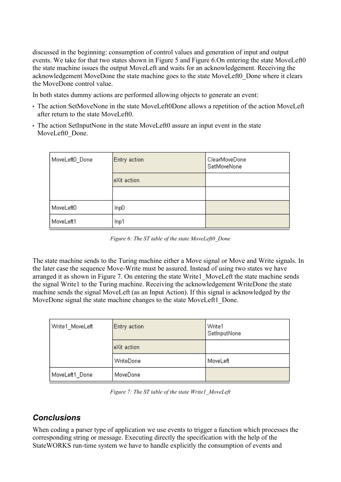discussed in the beginning: consumption of control values and generation of input and output events. We take for that two states shown in [Figure 5](#page-4-1) and [Figure 6.](#page-5-1)On entering the state MoveLeft0 the state machine issues the output MoveLeft and waits for an acknowledgement. Receiving the acknowledgement MoveDone the state machine goes to the state MoveLeft0\_Done where it clears the MoveDone control value.

In both states dummy actions are performed allowing objects to generate an event:

- The action SetMoveNone in the state MoveLeft0Done allows a repetition of the action MoveLeft after return to the state MoveLeft0.
- The action SetInputNone in the state MoveLeft0 assure an input event in the state MoveLeft0\_Done.

| MoveLeft0_Done | Entry action | ClearMoveDone<br>SetMoveNone |
|----------------|--------------|------------------------------|
|                | eXit action  |                              |
|                |              |                              |
| MoveLeft0      | lnp0         |                              |
| MoveLeft1      | Inp1         |                              |

<span id="page-5-1"></span>*Figure 6: The ST table of the state MoveLeft0\_Done*

The state machine sends to the Turing machine either a Move signal or Move and Write signals. In the later case the sequence Move-Write must be assured. Instead of using two states we have arranged it as shown in [Figure 7.](#page-5-0) On entering the state Write1\_MoveLeft the state machine sends the signal Write1 to the Turing machine. Receiving the acknowledgement WriteDone the state machine sends the signal MoveLeft (as an Input Action). If this signal is acknowledged by the MoveDone signal the state machine changes to the state MoveLeft1 Done.

| Write1 MoveLeft | Entry action | Write1<br>SetInputNone |
|-----------------|--------------|------------------------|
|                 | eXit action  |                        |
|                 | WriteDone    | MoveLeft               |
| MoveLeft1_Done  | MoveDone     |                        |

<span id="page-5-0"></span>*Figure 7: The ST table of the state Write1\_MoveLeft*

# *Conclusions*

When coding a parser type of application we use events to trigger a function which processes the corresponding string or message. Executing directly the specification with the help of the StateWORKS run-time system we have to handle explicitly the consumption of events and